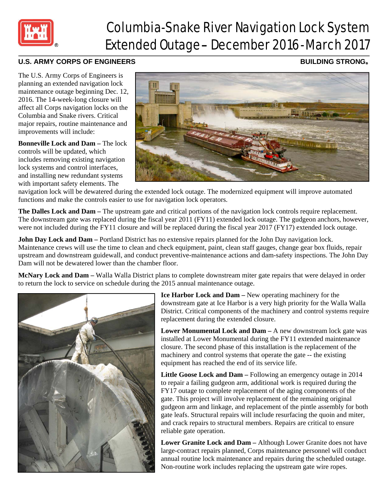

## Columbia-Snake River Navigation Lock System Extended Outage– December 2016-March 2017

## U.S. ARMY CORPS OF ENGINEERS **BUILDING STRONG®**

The U.S. Army Corps of Engineers is planning an extended navigation lock maintenance outage beginning Dec. 12, 2016. The 14-week-long closure will affect all Corps navigation locks on the Columbia and Snake rivers. Critical major repairs, routine maintenance and improvements will include:

**Bonneville Lock and Dam –** The lock controls will be updated, which includes removing existing navigation lock systems and control interfaces, and installing new redundant systems with important safety elements. The



navigation lock will be dewatered during the extended lock outage. The modernized equipment will improve automated functions and make the controls easier to use for navigation lock operators.

**The Dalles Lock and Dam –** The upstream gate and critical portions of the navigation lock controls require replacement. The downstream gate was replaced during the fiscal year 2011 (FY11) extended lock outage. The gudgeon anchors, however, were not included during the FY11 closure and will be replaced during the fiscal year 2017 (FY17) extended lock outage.

**John Day Lock and Dam** – Portland District has no extensive repairs planned for the John Day navigation lock. Maintenance crews will use the time to clean and check equipment, paint, clean staff gauges, change gear box fluids, repair upstream and downstream guidewall, and conduct preventive-maintenance actions and dam-safety inspections. The John Day Dam will not be dewatered lower than the chamber floor.

**McNary Lock and Dam –** Walla Walla District plans to complete downstream miter gate repairs that were delayed in order to return the lock to service on schedule during the 2015 annual maintenance outage.



**Ice Harbor Lock and Dam –** New operating machinery for the downstream gate at Ice Harbor is a very high priority for the Walla Walla District. Critical components of the machinery and control systems require replacement during the extended closure.

**Lower Monumental Lock and Dam –** A new downstream lock gate was installed at Lower Monumental during the FY11 extended maintenance closure. The second phase of this installation is the replacement of the machinery and control systems that operate the gate -- the existing equipment has reached the end of its service life.

**Little Goose Lock and Dam –** Following an emergency outage in 2014 to repair a failing gudgeon arm, additional work is required during the FY17 outage to complete replacement of the aging components of the gate. This project will involve replacement of the remaining original gudgeon arm and linkage, and replacement of the pintle assembly for both gate leafs. Structural repairs will include resurfacing the quoin and miter, and crack repairs to structural members. Repairs are critical to ensure reliable gate operation.

**Lower Granite Lock and Dam –** Although Lower Granite does not have large-contract repairs planned, Corps maintenance personnel will conduct annual routine lock maintenance and repairs during the scheduled outage. Non-routine work includes replacing the upstream gate wire ropes.